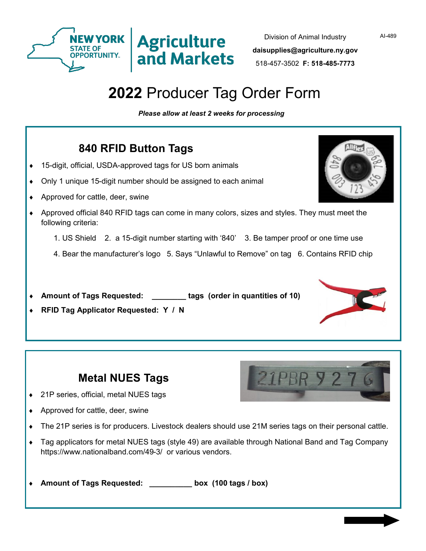



## **2022** Producer Tag Order Form

**Agriculture** 

and Markets

*Please allow at least 2 weeks for processing*

## **840 RFID Button Tags**

- 15-digit, official, USDA-approved tags for US born animals
- Only 1 unique 15-digit number should be assigned to each animal
- ◆ Approved for cattle, deer, swine
- Approved official 840 RFID tags can come in many colors, sizes and styles. They must meet the following criteria:
	- 1. US Shield 2. a 15-digit number starting with '840' 3. Be tamper proof or one time use
	- 4. Bear the manufacturer's logo 5. Says "Unlawful to Remove" on tag 6. Contains RFID chip
- **Amount of Tags Requested: \_\_\_\_\_\_\_\_ tags (order in quantities of 10)**
- **RFID Tag Applicator Requested: Y / N**

| <b>Metal NUES Tags</b> |  |  |
|------------------------|--|--|
|------------------------|--|--|

- ◆ 21P series, official, metal NUES tags
- ◆ Approved for cattle, deer, swine
- The 21P series is for producers. Livestock dealers should use 21M series tags on their personal cattle.
- Tag applicators for metal NUES tags (style 49) are available through National Band and Tag Company https://www.nationalband.com/49-3/ or various vendors.

**Amount of Tags Requested: \_\_\_\_\_\_\_\_\_\_ box (100 tags / box)**









AI-489